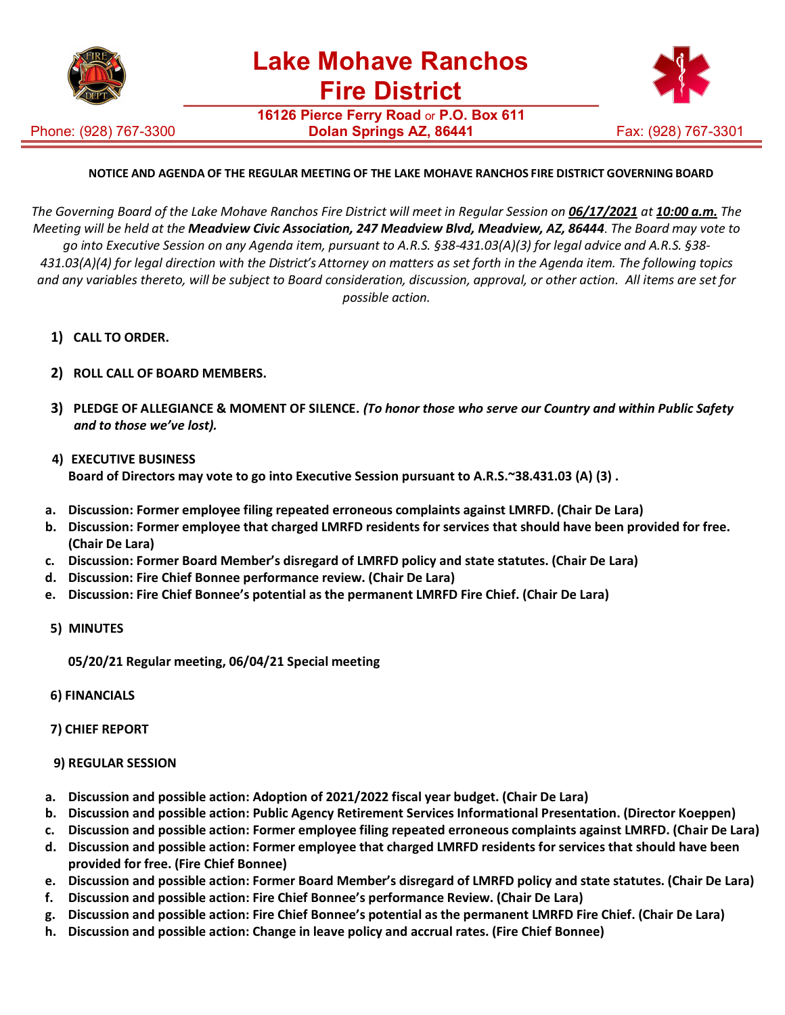

Phone: (928) 767-3300

**16126 Pierce Ferry Road** or **P.O. Box 611 Dolan Springs AZ, 86441** Fax: (928) 767-3301



## **NOTICE AND AGENDA OF THE REGULAR MEETING OF THE LAKE MOHAVE RANCHOS FIRE DISTRICT GOVERNING BOARD**

The Governing Board of the Lake Mohave Ranchos Fire District will meet in Regular Session on 06/17/2021 at 10:00 a.m. The *Meeting will be held at the Meadview Civic Association, 247 Meadview Blvd, Meadview, AZ, 86444*. *The Board may vote to go into Executive Session on any Agenda item, pursuant to A.R.S. §38-431.03(A)(3) for legal advice and A.R.S. §38- 431.03(A)(4) for legal direction with the District's Attorney on matters as set forth in the Agenda item. The following topics and any variables thereto, will be subject to Board consideration, discussion, approval, or other action. All items are set for possible action.*

- **1) CALL TO ORDER.**
- **2) ROLL CALL OF BOARD MEMBERS.**
- **3) PLEDGE OF ALLEGIANCE & MOMENT OF SILENCE.** *(To honor those who serve our Country and within Public Safety and to those we've lost).*
- **4) EXECUTIVE BUSINESS Board of Directors may vote to go into Executive Session pursuant to A.R.S.~38.431.03 (A) (3) .**
- **a. Discussion: Former employee filing repeated erroneous complaints against LMRFD. (Chair De Lara)**
- **b. Discussion: Former employee that charged LMRFD residents for services that should have been provided for free. (Chair De Lara)**
- **c. Discussion: Former Board Member's disregard of LMRFD policy and state statutes. (Chair De Lara)**
- **d. Discussion: Fire Chief Bonnee performance review. (Chair De Lara)**
- **e. Discussion: Fire Chief Bonnee's potential as the permanent LMRFD Fire Chief. (Chair De Lara)**
- **5) MINUTES**

**05/20/21 Regular meeting, 06/04/21 Special meeting**

- **6) FINANCIALS**
- **7) CHIEF REPORT**
- **9) REGULAR SESSION**
- **a. Discussion and possible action: Adoption of 2021/2022 fiscal year budget. (Chair De Lara)**
- **b. Discussion and possible action: Public Agency Retirement Services Informational Presentation. (Director Koeppen)**
- **c. Discussion and possible action: Former employee filing repeated erroneous complaints against LMRFD. (Chair De Lara)**
- **d. Discussion and possible action: Former employee that charged LMRFD residents for services that should have been provided for free. (Fire Chief Bonnee)**
- **e. Discussion and possible action: Former Board Member's disregard of LMRFD policy and state statutes. (Chair De Lara)**
- **f. Discussion and possible action: Fire Chief Bonnee's performance Review. (Chair De Lara)**
- **g. Discussion and possible action: Fire Chief Bonnee's potential as the permanent LMRFD Fire Chief. (Chair De Lara)**
- **h. Discussion and possible action: Change in leave policy and accrual rates. (Fire Chief Bonnee)**